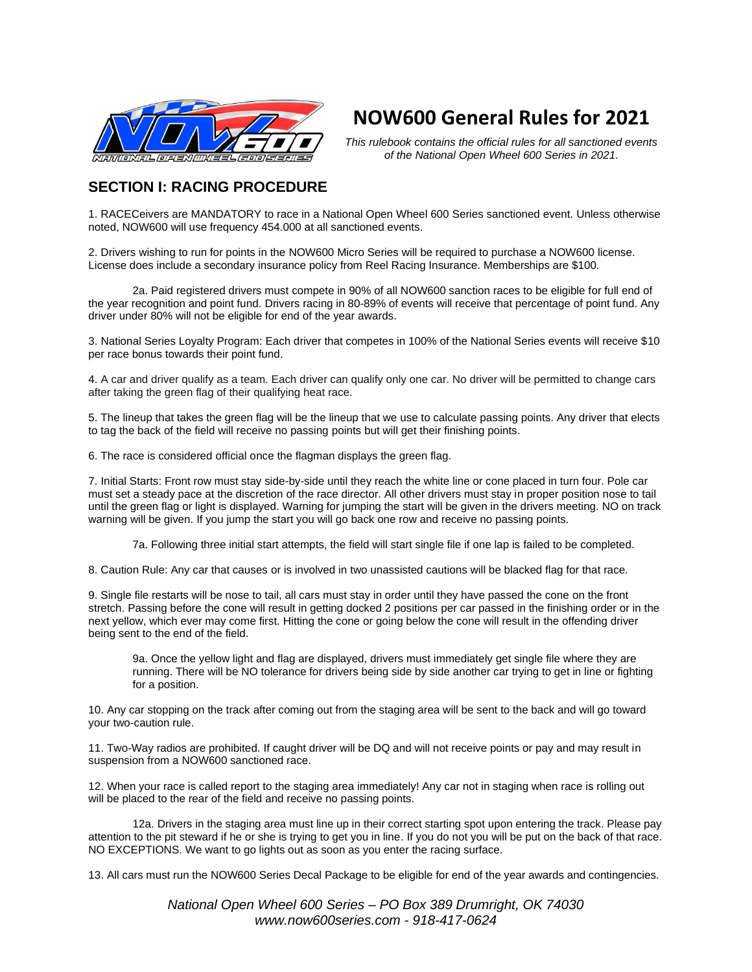

# **NOW600 General Rules for 2021**

*This rulebook contains the official rules for all sanctioned events of the National Open Wheel 600 Series in 2021.*

## **SECTION I: RACING PROCEDURE**

1. RACECeivers are MANDATORY to race in a National Open Wheel 600 Series sanctioned event. Unless otherwise noted, NOW600 will use frequency 454.000 at all sanctioned events.

2. Drivers wishing to run for points in the NOW600 Micro Series will be required to purchase a NOW600 license. License does include a secondary insurance policy from Reel Racing Insurance. Memberships are \$100.

2a. Paid registered drivers must compete in 90% of all NOW600 sanction races to be eligible for full end of the year recognition and point fund. Drivers racing in 80-89% of events will receive that percentage of point fund. Any driver under 80% will not be eligible for end of the year awards.

3. National Series Loyalty Program: Each driver that competes in 100% of the National Series events will receive \$10 per race bonus towards their point fund.

4. A car and driver qualify as a team. Each driver can qualify only one car. No driver will be permitted to change cars after taking the green flag of their qualifying heat race.

5. The lineup that takes the green flag will be the lineup that we use to calculate passing points. Any driver that elects to tag the back of the field will receive no passing points but will get their finishing points.

6. The race is considered official once the flagman displays the green flag.

7. Initial Starts: Front row must stay side-by-side until they reach the white line or cone placed in turn four. Pole car must set a steady pace at the discretion of the race director. All other drivers must stay in proper position nose to tail until the green flag or light is displayed. Warning for jumping the start will be given in the drivers meeting. NO on track warning will be given. If you jump the start you will go back one row and receive no passing points.

7a. Following three initial start attempts, the field will start single file if one lap is failed to be completed.

8. Caution Rule: Any car that causes or is involved in two unassisted cautions will be blacked flag for that race.

9. Single file restarts will be nose to tail, all cars must stay in order until they have passed the cone on the front stretch. Passing before the cone will result in getting docked 2 positions per car passed in the finishing order or in the next yellow, which ever may come first. Hitting the cone or going below the cone will result in the offending driver being sent to the end of the field.

9a. Once the yellow light and flag are displayed, drivers must immediately get single file where they are running. There will be NO tolerance for drivers being side by side another car trying to get in line or fighting for a position.

10. Any car stopping on the track after coming out from the staging area will be sent to the back and will go toward your two-caution rule.

11. Two-Way radios are prohibited. If caught driver will be DQ and will not receive points or pay and may result in suspension from a NOW600 sanctioned race.

12. When your race is called report to the staging area immediately! Any car not in staging when race is rolling out will be placed to the rear of the field and receive no passing points.

12a. Drivers in the staging area must line up in their correct starting spot upon entering the track. Please pay attention to the pit steward if he or she is trying to get you in line. If you do not you will be put on the back of that race. NO EXCEPTIONS. We want to go lights out as soon as you enter the racing surface.

13. All cars must run the NOW600 Series Decal Package to be eligible for end of the year awards and contingencies.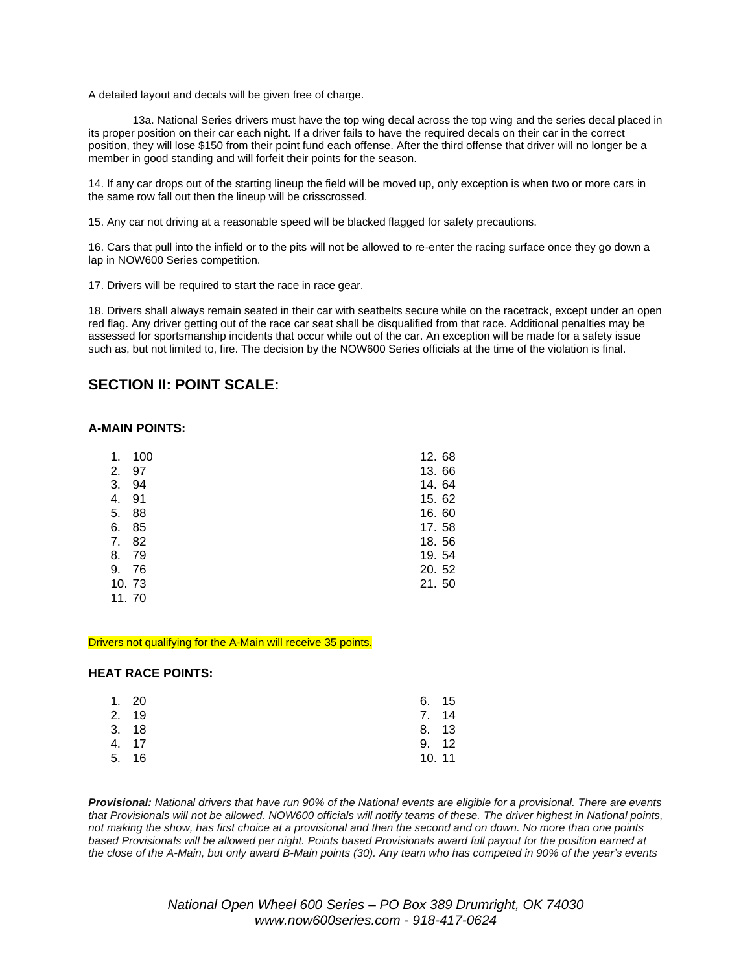A detailed layout and decals will be given free of charge.

13a. National Series drivers must have the top wing decal across the top wing and the series decal placed in its proper position on their car each night. If a driver fails to have the required decals on their car in the correct position, they will lose \$150 from their point fund each offense. After the third offense that driver will no longer be a member in good standing and will forfeit their points for the season.

14. If any car drops out of the starting lineup the field will be moved up, only exception is when two or more cars in the same row fall out then the lineup will be crisscrossed.

15. Any car not driving at a reasonable speed will be blacked flagged for safety precautions.

16. Cars that pull into the infield or to the pits will not be allowed to re-enter the racing surface once they go down a lap in NOW600 Series competition.

17. Drivers will be required to start the race in race gear.

18. Drivers shall always remain seated in their car with seatbelts secure while on the racetrack, except under an open red flag. Any driver getting out of the race car seat shall be disqualified from that race. Additional penalties may be assessed for sportsmanship incidents that occur while out of the car. An exception will be made for a safety issue such as, but not limited to, fire. The decision by the NOW600 Series officials at the time of the violation is final.

## **SECTION II: POINT SCALE:**

#### **A-MAIN POINTS:**

| 1.    | 100 | 12.68 |  |
|-------|-----|-------|--|
| 2.    | 97  | 13.66 |  |
| 3.    | 94  | 14.64 |  |
| 4.    | 91  | 15.62 |  |
| 5.    | 88  | 16.60 |  |
| 6.    | 85  | 17.58 |  |
| 7.    | 82  | 18.56 |  |
| 8.    | 79  | 19.54 |  |
| 9.    | 76  | 20.52 |  |
| 10.73 |     | 21.50 |  |
| 11.70 |     |       |  |

#### Drivers not qualifying for the A-Main will receive 35 points.

#### **HEAT RACE POINTS:**

| 1.20<br>2. 19<br>3.18<br>4. 17<br>5. 16 | 6. 15<br>7. 14<br>8. 13<br>9.12<br>10.11 |
|-----------------------------------------|------------------------------------------|

Provisional: National drivers that have run 90% of the National events are eligible for a provisional. There are events that Provisionals will not be allowed. NOW600 officials will notify teams of these. The driver highest in National points, not making the show, has first choice at a provisional and then the second and on down. No more than one points based Provisionals will be allowed per night. Points based Provisionals award full payout for the position earned at the close of the A-Main, but only award B-Main points (30). Any team who has competed in 90% of the year's events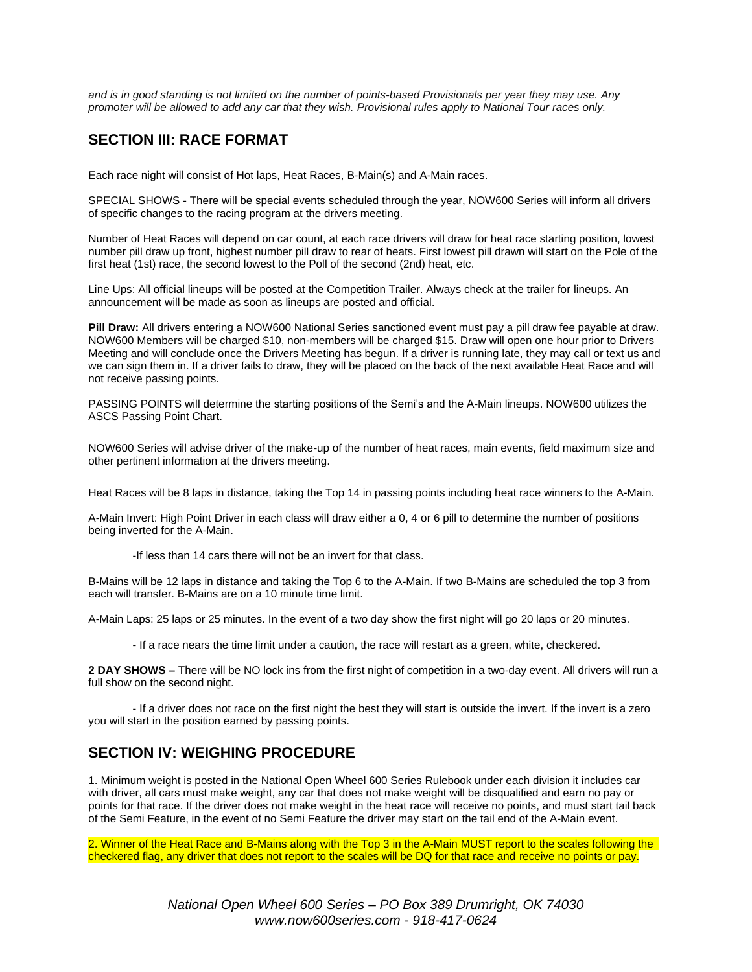and is in good standing is not limited on the number of points-based Provisionals per year they may use. Any promoter will be allowed to add any car that they wish. Provisional rules apply to National Tour races only.

## **SECTION III: RACE FORMAT**

Each race night will consist of Hot laps, Heat Races, B-Main(s) and A-Main races.

SPECIAL SHOWS - There will be special events scheduled through the year, NOW600 Series will inform all drivers of specific changes to the racing program at the drivers meeting.

Number of Heat Races will depend on car count, at each race drivers will draw for heat race starting position, lowest number pill draw up front, highest number pill draw to rear of heats. First lowest pill drawn will start on the Pole of the first heat (1st) race, the second lowest to the Poll of the second (2nd) heat, etc.

Line Ups: All official lineups will be posted at the Competition Trailer. Always check at the trailer for lineups. An announcement will be made as soon as lineups are posted and official.

**Pill Draw:** All drivers entering a NOW600 National Series sanctioned event must pay a pill draw fee payable at draw. NOW600 Members will be charged \$10, non-members will be charged \$15. Draw will open one hour prior to Drivers Meeting and will conclude once the Drivers Meeting has begun. If a driver is running late, they may call or text us and we can sign them in. If a driver fails to draw, they will be placed on the back of the next available Heat Race and will not receive passing points.

PASSING POINTS will determine the starting positions of the Semi's and the A-Main lineups. NOW600 utilizes the ASCS Passing Point Chart.

NOW600 Series will advise driver of the make-up of the number of heat races, main events, field maximum size and other pertinent information at the drivers meeting.

Heat Races will be 8 laps in distance, taking the Top 14 in passing points including heat race winners to the A-Main.

A-Main Invert: High Point Driver in each class will draw either a 0, 4 or 6 pill to determine the number of positions being inverted for the A-Main.

-If less than 14 cars there will not be an invert for that class.

B-Mains will be 12 laps in distance and taking the Top 6 to the A-Main. If two B-Mains are scheduled the top 3 from each will transfer. B-Mains are on a 10 minute time limit.

A-Main Laps: 25 laps or 25 minutes. In the event of a two day show the first night will go 20 laps or 20 minutes.

- If a race nears the time limit under a caution, the race will restart as a green, white, checkered.

**2 DAY SHOWS –** There will be NO lock ins from the first night of competition in a two-day event. All drivers will run a full show on the second night.

- If a driver does not race on the first night the best they will start is outside the invert. If the invert is a zero you will start in the position earned by passing points.

## **SECTION IV: WEIGHING PROCEDURE**

1. Minimum weight is posted in the National Open Wheel 600 Series Rulebook under each division it includes car with driver, all cars must make weight, any car that does not make weight will be disqualified and earn no pay or points for that race. If the driver does not make weight in the heat race will receive no points, and must start tail back of the Semi Feature, in the event of no Semi Feature the driver may start on the tail end of the A-Main event.

2. Winner of the Heat Race and B-Mains along with the Top 3 in the A-Main MUST report to the scales following the checkered flag, any driver that does not report to the scales will be DQ for that race and receive no points or pay.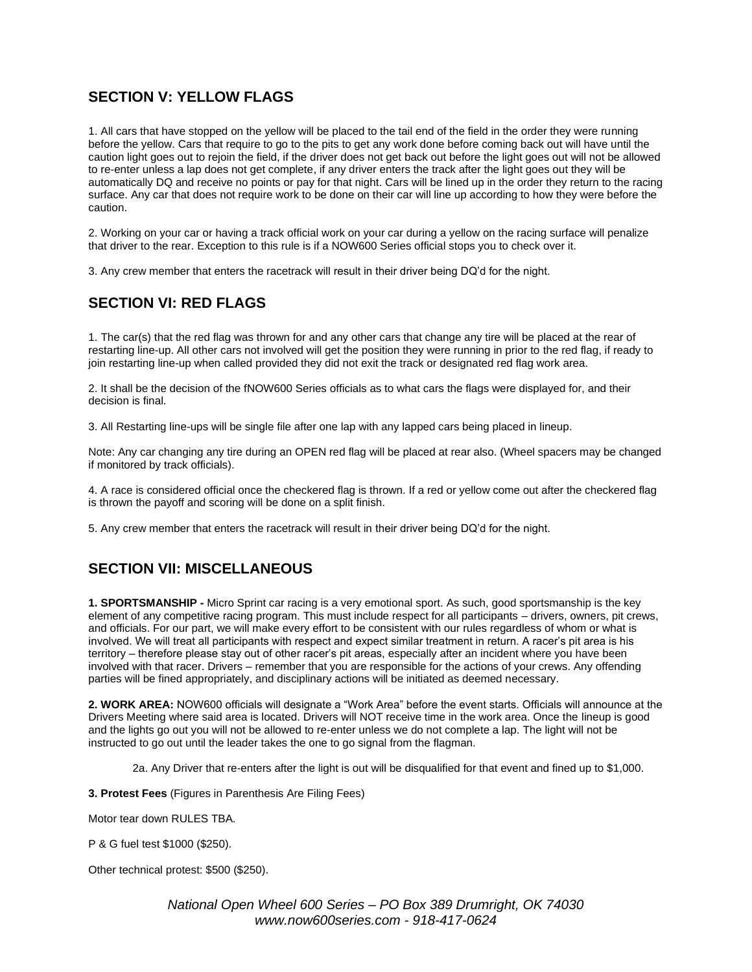# **SECTION V: YELLOW FLAGS**

1. All cars that have stopped on the yellow will be placed to the tail end of the field in the order they were running before the yellow. Cars that require to go to the pits to get any work done before coming back out will have until the caution light goes out to rejoin the field, if the driver does not get back out before the light goes out will not be allowed to re-enter unless a lap does not get complete, if any driver enters the track after the light goes out they will be automatically DQ and receive no points or pay for that night. Cars will be lined up in the order they return to the racing surface. Any car that does not require work to be done on their car will line up according to how they were before the caution.

2. Working on your car or having a track official work on your car during a yellow on the racing surface will penalize that driver to the rear. Exception to this rule is if a NOW600 Series official stops you to check over it.

3. Any crew member that enters the racetrack will result in their driver being DQ'd for the night.

# **SECTION VI: RED FLAGS**

1. The car(s) that the red flag was thrown for and any other cars that change any tire will be placed at the rear of restarting line-up. All other cars not involved will get the position they were running in prior to the red flag, if ready to join restarting line-up when called provided they did not exit the track or designated red flag work area.

2. It shall be the decision of the fNOW600 Series officials as to what cars the flags were displayed for, and their decision is final.

3. All Restarting line-ups will be single file after one lap with any lapped cars being placed in lineup.

Note: Any car changing any tire during an OPEN red flag will be placed at rear also. (Wheel spacers may be changed if monitored by track officials).

4. A race is considered official once the checkered flag is thrown. If a red or yellow come out after the checkered flag is thrown the payoff and scoring will be done on a split finish.

5. Any crew member that enters the racetrack will result in their driver being DQ'd for the night.

## **SECTION VII: MISCELLANEOUS**

**1. SPORTSMANSHIP -** Micro Sprint car racing is a very emotional sport. As such, good sportsmanship is the key element of any competitive racing program. This must include respect for all participants – drivers, owners, pit crews, and officials. For our part, we will make every effort to be consistent with our rules regardless of whom or what is involved. We will treat all participants with respect and expect similar treatment in return. A racer's pit area is his territory – therefore please stay out of other racer's pit areas, especially after an incident where you have been involved with that racer. Drivers – remember that you are responsible for the actions of your crews. Any offending parties will be fined appropriately, and disciplinary actions will be initiated as deemed necessary.

**2. WORK AREA:** NOW600 officials will designate a "Work Area" before the event starts. Officials will announce at the Drivers Meeting where said area is located. Drivers will NOT receive time in the work area. Once the lineup is good and the lights go out you will not be allowed to re-enter unless we do not complete a lap. The light will not be instructed to go out until the leader takes the one to go signal from the flagman.

2a. Any Driver that re-enters after the light is out will be disqualified for that event and fined up to \$1,000.

**3. Protest Fees** (Figures in Parenthesis Are Filing Fees)

Motor tear down RULES TBA.

P & G fuel test \$1000 (\$250).

Other technical protest: \$500 (\$250).